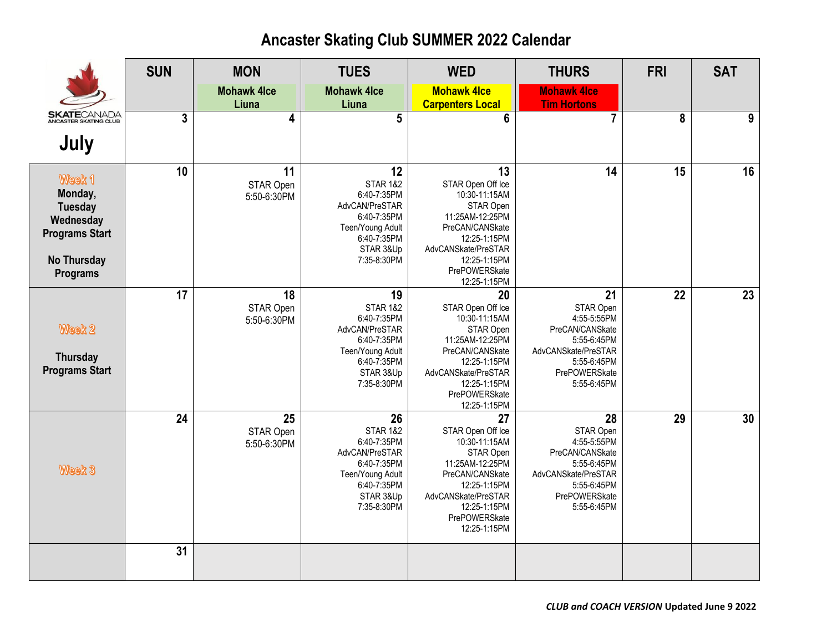## **Ancaster Skating Club SUMMER 2022 Calendar**

|                                                                                                             | <b>SUN</b>      | <b>MON</b>                     | <b>TUES</b>                                                                                                                              | <b>WED</b>                                                                                                                                                                          | <b>THURS</b>                                                                                                                           | <b>FRI</b> | <b>SAT</b>      |
|-------------------------------------------------------------------------------------------------------------|-----------------|--------------------------------|------------------------------------------------------------------------------------------------------------------------------------------|-------------------------------------------------------------------------------------------------------------------------------------------------------------------------------------|----------------------------------------------------------------------------------------------------------------------------------------|------------|-----------------|
|                                                                                                             |                 | <b>Mohawk 4Ice</b><br>Liuna    | <b>Mohawk 4Ice</b><br>Liuna                                                                                                              | <b>Mohawk 4Ice</b><br><b>Carpenters Local</b>                                                                                                                                       | <b>Mohawk 4Ice</b><br><b>Tim Hortons</b>                                                                                               |            |                 |
| <b>SKATE</b> CANADA<br>ANCASTER SKATING CLUB                                                                | $\overline{3}$  | 4                              | 5                                                                                                                                        | $6\phantom{1}$                                                                                                                                                                      | $\overline{7}$                                                                                                                         | 8          | 9               |
| July                                                                                                        |                 |                                |                                                                                                                                          |                                                                                                                                                                                     |                                                                                                                                        |            |                 |
| Week 1<br>Monday,<br><b>Tuesday</b><br>Wednesday<br><b>Programs Start</b><br>No Thursday<br><b>Programs</b> | 10              | 11<br>STAR Open<br>5:50-6:30PM | 12<br><b>STAR 1&amp;2</b><br>6:40-7:35PM<br>AdvCAN/PreSTAR<br>6:40-7:35PM<br>Teen/Young Adult<br>6:40-7:35PM<br>STAR 3&Up<br>7:35-8:30PM | 13<br>STAR Open Off Ice<br>10:30-11:15AM<br>STAR Open<br>11:25AM-12:25PM<br>PreCAN/CANSkate<br>12:25-1:15PM<br>AdvCANSkate/PreSTAR<br>12:25-1:15PM<br>PrePOWERSkate<br>12:25-1:15PM | 14                                                                                                                                     | 15         | $\overline{16}$ |
| Week 2<br>Thursday<br><b>Programs Start</b>                                                                 | 17              | 18<br>STAR Open<br>5:50-6:30PM | 19<br><b>STAR 1&amp;2</b><br>6:40-7:35PM<br>AdvCAN/PreSTAR<br>6:40-7:35PM<br>Teen/Young Adult<br>6:40-7:35PM<br>STAR 3&Up<br>7:35-8:30PM | 20<br>STAR Open Off Ice<br>10:30-11:15AM<br>STAR Open<br>11:25AM-12:25PM<br>PreCAN/CANSkate<br>12:25-1:15PM<br>AdvCANSkate/PreSTAR<br>12:25-1:15PM<br>PrePOWERSkate<br>12:25-1:15PM | 21<br>STAR Open<br>4:55-5:55PM<br>PreCAN/CANSkate<br>5:55-6:45PM<br>AdvCANSkate/PreSTAR<br>5:55-6:45PM<br>PrePOWERSkate<br>5:55-6:45PM | 22         | 23              |
| Week 3                                                                                                      | $\overline{24}$ | 25<br>STAR Open<br>5:50-6:30PM | 26<br><b>STAR 1&amp;2</b><br>6:40-7:35PM<br>AdvCAN/PreSTAR<br>6:40-7:35PM<br>Teen/Young Adult<br>6:40-7:35PM<br>STAR 3&Up<br>7:35-8:30PM | 27<br>STAR Open Off Ice<br>10:30-11:15AM<br>STAR Open<br>11:25AM-12:25PM<br>PreCAN/CANSkate<br>12:25-1:15PM<br>AdvCANSkate/PreSTAR<br>12:25-1:15PM<br>PrePOWERSkate<br>12:25-1:15PM | 28<br>STAR Open<br>4:55-5:55PM<br>PreCAN/CANSkate<br>5:55-6:45PM<br>AdvCANSkate/PreSTAR<br>5:55-6:45PM<br>PrePOWERSkate<br>5:55-6:45PM | 29         | 30              |
|                                                                                                             | $\overline{31}$ |                                |                                                                                                                                          |                                                                                                                                                                                     |                                                                                                                                        |            |                 |